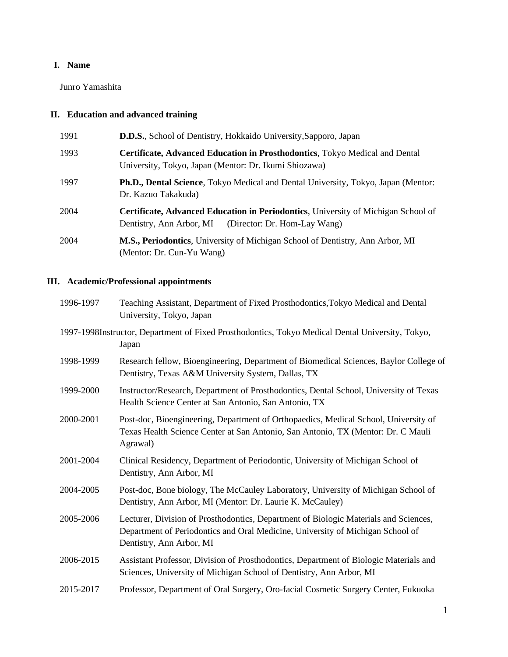# **I. Name**

Junro Yamashita

# **II. Education and advanced training**

| 1991 | <b>D.D.S.</b> , School of Dentistry, Hokkaido University, Sapporo, Japan                                                                          |  |
|------|---------------------------------------------------------------------------------------------------------------------------------------------------|--|
| 1993 | Certificate, Advanced Education in Prosthodontics, Tokyo Medical and Dental<br>University, Tokyo, Japan (Mentor: Dr. Ikumi Shiozawa)              |  |
| 1997 | Ph.D., Dental Science, Tokyo Medical and Dental University, Tokyo, Japan (Mentor:<br>Dr. Kazuo Takakuda)                                          |  |
| 2004 | <b>Certificate, Advanced Education in Periodontics, University of Michigan School of</b><br>Dentistry, Ann Arbor, MI (Director: Dr. Hom-Lay Wang) |  |
| 2004 | M.S., Periodontics, University of Michigan School of Dentistry, Ann Arbor, MI<br>(Mentor: Dr. Cun-Yu Wang)                                        |  |

# **III. Academic/Professional appointments**

| 1996-1997 | Teaching Assistant, Department of Fixed Prosthodontics, Tokyo Medical and Dental<br>University, Tokyo, Japan                                                                                       |  |
|-----------|----------------------------------------------------------------------------------------------------------------------------------------------------------------------------------------------------|--|
|           | 1997-1998Instructor, Department of Fixed Prosthodontics, Tokyo Medical Dental University, Tokyo,<br>Japan                                                                                          |  |
| 1998-1999 | Research fellow, Bioengineering, Department of Biomedical Sciences, Baylor College of<br>Dentistry, Texas A&M University System, Dallas, TX                                                        |  |
| 1999-2000 | Instructor/Research, Department of Prosthodontics, Dental School, University of Texas<br>Health Science Center at San Antonio, San Antonio, TX                                                     |  |
| 2000-2001 | Post-doc, Bioengineering, Department of Orthopaedics, Medical School, University of<br>Texas Health Science Center at San Antonio, San Antonio, TX (Mentor: Dr. C Mauli<br>Agrawal)                |  |
| 2001-2004 | Clinical Residency, Department of Periodontic, University of Michigan School of<br>Dentistry, Ann Arbor, MI                                                                                        |  |
| 2004-2005 | Post-doc, Bone biology, The McCauley Laboratory, University of Michigan School of<br>Dentistry, Ann Arbor, MI (Mentor: Dr. Laurie K. McCauley)                                                     |  |
| 2005-2006 | Lecturer, Division of Prosthodontics, Department of Biologic Materials and Sciences,<br>Department of Periodontics and Oral Medicine, University of Michigan School of<br>Dentistry, Ann Arbor, MI |  |
| 2006-2015 | Assistant Professor, Division of Prosthodontics, Department of Biologic Materials and<br>Sciences, University of Michigan School of Dentistry, Ann Arbor, MI                                       |  |
| 2015-2017 | Professor, Department of Oral Surgery, Oro-facial Cosmetic Surgery Center, Fukuoka                                                                                                                 |  |
|           |                                                                                                                                                                                                    |  |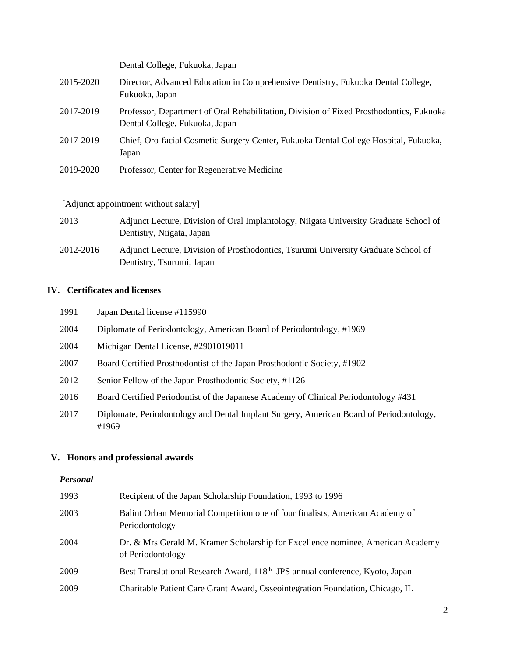|           | Dental College, Fukuoka, Japan                                                                                            |
|-----------|---------------------------------------------------------------------------------------------------------------------------|
| 2015-2020 | Director, Advanced Education in Comprehensive Dentistry, Fukuoka Dental College,<br>Fukuoka, Japan                        |
| 2017-2019 | Professor, Department of Oral Rehabilitation, Division of Fixed Prosthodontics, Fukuoka<br>Dental College, Fukuoka, Japan |
| 2017-2019 | Chief, Oro-facial Cosmetic Surgery Center, Fukuoka Dental College Hospital, Fukuoka,<br>Japan                             |
| 2019-2020 | Professor, Center for Regenerative Medicine                                                                               |
|           | [Adjunct appointment without salary]                                                                                      |

| 2013      | Adjunct Lecture, Division of Oral Implantology, Niigata University Graduate School of                           |
|-----------|-----------------------------------------------------------------------------------------------------------------|
|           | Dentistry, Niigata, Japan                                                                                       |
| 2012-2016 | Adjunct Lecture, Division of Prosthodontics, Tsurumi University Graduate School of<br>Dentistry, Tsurumi, Japan |

# **IV. Certificates and licenses**

| 1991 | Japan Dental license #115990                                                                     |
|------|--------------------------------------------------------------------------------------------------|
| 2004 | Diplomate of Periodontology, American Board of Periodontology, #1969                             |
| 2004 | Michigan Dental License, #2901019011                                                             |
| 2007 | Board Certified Prosthodontist of the Japan Prosthodontic Society, #1902                         |
| 2012 | Senior Fellow of the Japan Prosthodontic Society, #1126                                          |
| 2016 | Board Certified Periodontist of the Japanese Academy of Clinical Periodontology #431             |
| 2017 | Diplomate, Periodontology and Dental Implant Surgery, American Board of Periodontology,<br>#1969 |

# **V. Honors and professional awards**

# *Personal*

| 1993 | Recipient of the Japan Scholarship Foundation, 1993 to 1996                                          |
|------|------------------------------------------------------------------------------------------------------|
| 2003 | Balint Orban Memorial Competition one of four finalists, American Academy of<br>Periodontology       |
| 2004 | Dr. & Mrs Gerald M. Kramer Scholarship for Excellence nominee, American Academy<br>of Periodontology |
| 2009 | Best Translational Research Award, 118 <sup>th</sup> JPS annual conference, Kyoto, Japan             |
| 2009 | Charitable Patient Care Grant Award, Osseointegration Foundation, Chicago, IL                        |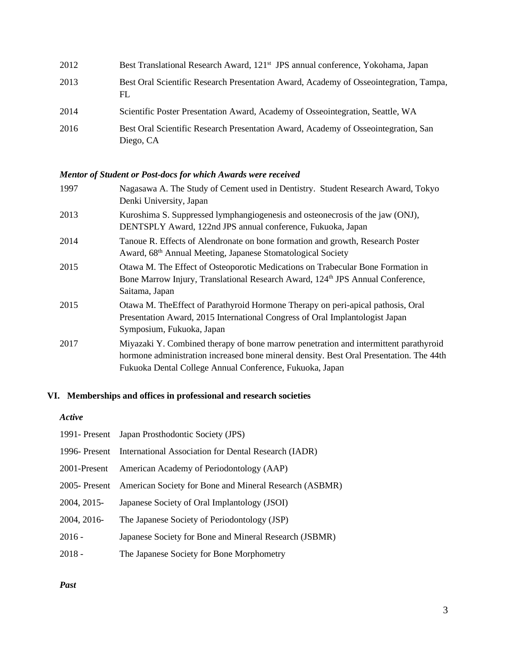| 2012 | Best Translational Research Award, 121 <sup>st</sup> JPS annual conference, Yokohama, Japan     |
|------|-------------------------------------------------------------------------------------------------|
| 2013 | Best Oral Scientific Research Presentation Award, Academy of Osseointegration, Tampa,<br>FL     |
| 2014 | Scientific Poster Presentation Award, Academy of Osseointegration, Seattle, WA                  |
| 2016 | Best Oral Scientific Research Presentation Award, Academy of Osseointegration, San<br>Diego, CA |

# *Mentor of Student or Post-docs for which Awards were received*

| 1997 | Nagasawa A. The Study of Cement used in Dentistry. Student Research Award, Tokyo<br>Denki University, Japan                                                                                                                                 |
|------|---------------------------------------------------------------------------------------------------------------------------------------------------------------------------------------------------------------------------------------------|
| 2013 | Kuroshima S. Suppressed lymphangiogenesis and osteonecrosis of the jaw (ONJ),<br>DENTSPLY Award, 122nd JPS annual conference, Fukuoka, Japan                                                                                                |
| 2014 | Tanoue R. Effects of Alendronate on bone formation and growth, Research Poster<br>Award, 68 <sup>th</sup> Annual Meeting, Japanese Stomatological Society                                                                                   |
| 2015 | Otawa M. The Effect of Osteoporotic Medications on Trabecular Bone Formation in<br>Bone Marrow Injury, Translational Research Award, 124th JPS Annual Conference,<br>Saitama, Japan                                                         |
| 2015 | Otawa M. The Effect of Parathyroid Hormone Therapy on peri-apical pathosis, Oral<br>Presentation Award, 2015 International Congress of Oral Implantologist Japan<br>Symposium, Fukuoka, Japan                                               |
| 2017 | Miyazaki Y. Combined therapy of bone marrow penetration and intermittent parathyroid<br>hormone administration increased bone mineral density. Best Oral Presentation. The 44th<br>Fukuoka Dental College Annual Conference, Fukuoka, Japan |

# **VI. Memberships and offices in professional and research societies**

## *Active*

|              | 1991 - Present Japan Prosthodontic Society (JPS)                     |
|--------------|----------------------------------------------------------------------|
|              | 1996- Present International Association for Dental Research (IADR)   |
| 2001-Present | American Academy of Periodontology (AAP)                             |
|              | 2005- Present American Society for Bone and Mineral Research (ASBMR) |
| 2004, 2015-  | Japanese Society of Oral Implantology (JSOI)                         |
| 2004, 2016-  | The Japanese Society of Periodontology (JSP)                         |
| $2016 -$     | Japanese Society for Bone and Mineral Research (JSBMR)               |
| $2018 -$     | The Japanese Society for Bone Morphometry                            |

# *Past*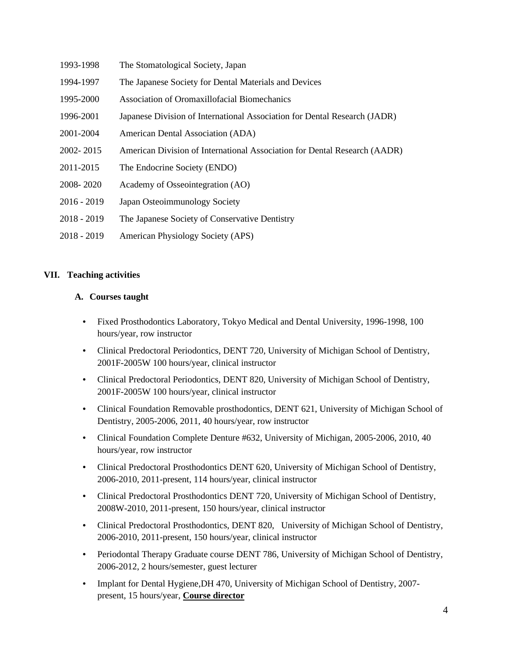- 1993-1998 The Stomatological Society, Japan
- 1994-1997 The Japanese Society for Dental Materials and Devices
- 1995-2000 Association of Oromaxillofacial Biomechanics
- 1996-2001 Japanese Division of International Association for Dental Research (JADR)
- 2001-2004 American Dental Association (ADA)
- 2002- 2015 American Division of International Association for Dental Research (AADR)
- 2011-2015 The Endocrine Society (ENDO)
- 2008- 2020 Academy of Osseointegration (AO)
- 2016 2019 Japan Osteoimmunology Society
- 2018 2019 The Japanese Society of Conservative Dentistry
- 2018 2019 American Physiology Society (APS)

## **VII. Teaching activities**

## **A. Courses taught**

- Fixed Prosthodontics Laboratory, Tokyo Medical and Dental University, 1996-1998, 100 hours/year, row instructor
- Clinical Predoctoral Periodontics, DENT 720, University of Michigan School of Dentistry, 2001F-2005W 100 hours/year, clinical instructor
- Clinical Predoctoral Periodontics, DENT 820, University of Michigan School of Dentistry, 2001F-2005W 100 hours/year, clinical instructor
- Clinical Foundation Removable prosthodontics, DENT 621, University of Michigan School of Dentistry, 2005-2006, 2011, 40 hours/year, row instructor
- Clinical Foundation Complete Denture #632, University of Michigan, 2005-2006, 2010, 40 hours/year, row instructor
- Clinical Predoctoral Prosthodontics DENT 620, University of Michigan School of Dentistry, 2006-2010, 2011-present, 114 hours/year, clinical instructor
- Clinical Predoctoral Prosthodontics DENT 720, University of Michigan School of Dentistry, 2008W-2010, 2011-present, 150 hours/year, clinical instructor
- Clinical Predoctoral Prosthodontics, DENT 820, University of Michigan School of Dentistry, 2006-2010, 2011-present, 150 hours/year, clinical instructor
- Periodontal Therapy Graduate course DENT 786, University of Michigan School of Dentistry, 2006-2012, 2 hours/semester, guest lecturer
- Implant for Dental Hygiene,DH 470, University of Michigan School of Dentistry, 2007 present, 15 hours/year, **Course director**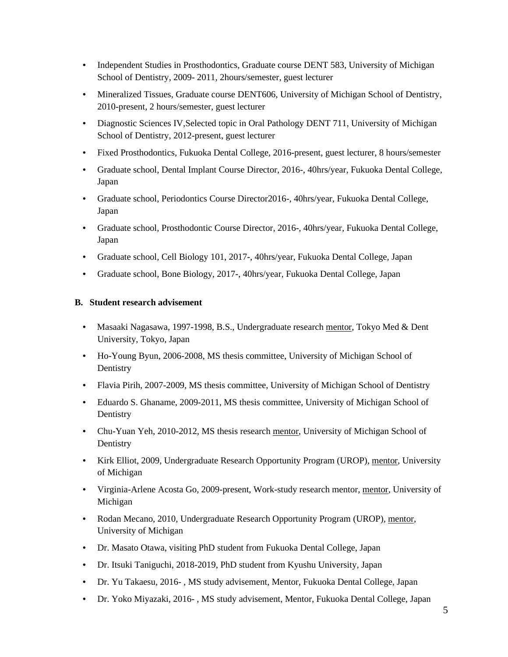- Independent Studies in Prosthodontics, Graduate course DENT 583, University of Michigan School of Dentistry, 2009- 2011, 2hours/semester, guest lecturer
- Mineralized Tissues, Graduate course DENT606, University of Michigan School of Dentistry, 2010-present, 2 hours/semester, guest lecturer
- Diagnostic Sciences IV,Selected topic in Oral Pathology DENT 711, University of Michigan School of Dentistry, 2012-present, guest lecturer
- Fixed Prosthodontics, Fukuoka Dental College, 2016-present, guest lecturer, 8 hours/semester
- Graduate school, Dental Implant Course Director, 2016-, 40hrs/year, Fukuoka Dental College, Japan
- Graduate school, Periodontics Course Director2016-, 40hrs/year, Fukuoka Dental College, Japan
- Graduate school, Prosthodontic Course Director, 2016-, 40hrs/year, Fukuoka Dental College, Japan
- Graduate school, Cell Biology 101, 2017-, 40hrs/year, Fukuoka Dental College, Japan
- Graduate school, Bone Biology, 2017-, 40hrs/year, Fukuoka Dental College, Japan

# **B. Student research advisement**

- Masaaki Nagasawa, 1997-1998, B.S., Undergraduate research mentor, Tokyo Med & Dent University, Tokyo, Japan
- Ho-Young Byun, 2006-2008, MS thesis committee, University of Michigan School of Dentistry
- Flavia Pirih, 2007-2009, MS thesis committee, University of Michigan School of Dentistry
- Eduardo S. Ghaname, 2009-2011, MS thesis committee, University of Michigan School of Dentistry
- Chu-Yuan Yeh, 2010-2012, MS thesis research mentor, University of Michigan School of Dentistry
- Kirk Elliot, 2009, Undergraduate Research Opportunity Program (UROP), mentor, University of Michigan
- Virginia-Arlene Acosta Go, 2009-present, Work-study research mentor, mentor, University of Michigan
- Rodan Mecano, 2010, Undergraduate Research Opportunity Program (UROP), mentor, University of Michigan
- Dr. Masato Otawa, visiting PhD student from Fukuoka Dental College, Japan
- Dr. Itsuki Taniguchi, 2018-2019, PhD student from Kyushu University, Japan
- Dr. Yu Takaesu, 2016- , MS study advisement, Mentor, Fukuoka Dental College, Japan
- Dr. Yoko Miyazaki, 2016- , MS study advisement, Mentor, Fukuoka Dental College, Japan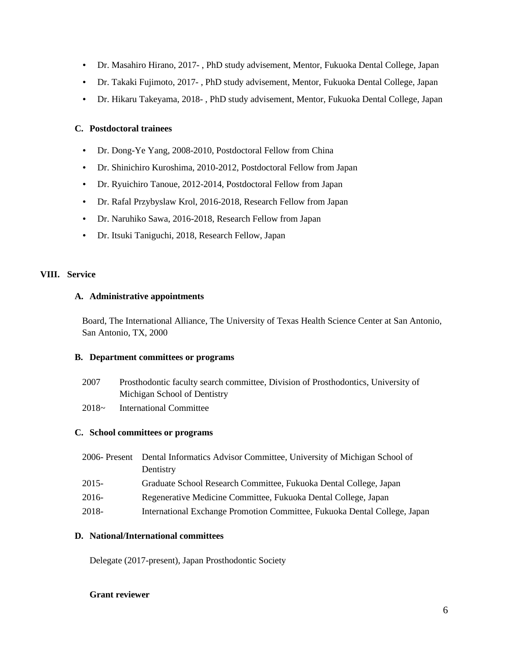- Dr. Masahiro Hirano, 2017- , PhD study advisement, Mentor, Fukuoka Dental College, Japan
- Dr. Takaki Fujimoto, 2017- , PhD study advisement, Mentor, Fukuoka Dental College, Japan
- Dr. Hikaru Takeyama, 2018- , PhD study advisement, Mentor, Fukuoka Dental College, Japan

#### **C. Postdoctoral trainees**

- Dr. Dong-Ye Yang, 2008-2010, Postdoctoral Fellow from China
- Dr. Shinichiro Kuroshima, 2010-2012, Postdoctoral Fellow from Japan
- Dr. Ryuichiro Tanoue, 2012-2014, Postdoctoral Fellow from Japan
- Dr. Rafal Przybyslaw Krol, 2016-2018, Research Fellow from Japan
- Dr. Naruhiko Sawa, 2016-2018, Research Fellow from Japan
- Dr. Itsuki Taniguchi, 2018, Research Fellow, Japan

#### **VIII. Service**

#### **A. Administrative appointments**

Board, The International Alliance, The University of Texas Health Science Center at San Antonio, San Antonio, TX, 2000

#### **B. Department committees or programs**

- 2007 Prosthodontic faculty search committee, Division of Prosthodontics, University of Michigan School of Dentistry
- 2018~ International Committee

#### **C. School committees or programs**

| International Exchange Promotion Committee, Fukuoka Dental College, Japan |
|---------------------------------------------------------------------------|
|                                                                           |

#### **D. National/International committees**

Delegate (2017-present), Japan Prosthodontic Society

#### **Grant reviewer**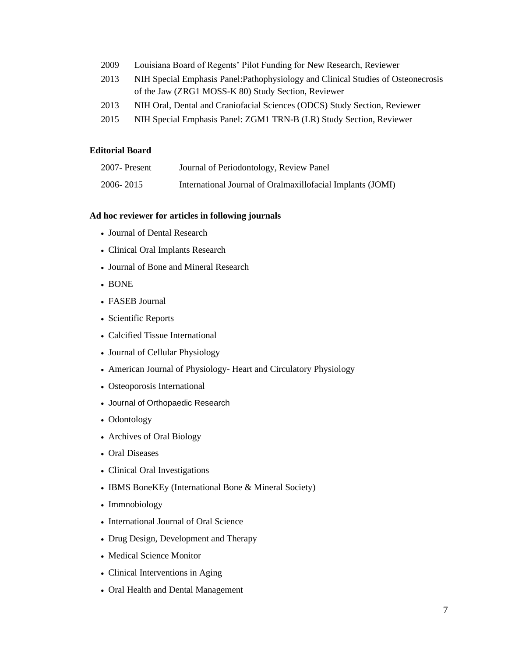- 2009 Louisiana Board of Regents' Pilot Funding for New Research, Reviewer
- 2013 NIH Special Emphasis Panel:Pathophysiology and Clinical Studies of Osteonecrosis of the Jaw (ZRG1 MOSS-K 80) Study Section, Reviewer
- 2013 NIH Oral, Dental and Craniofacial Sciences (ODCS) Study Section, Reviewer
- 2015 NIH Special Emphasis Panel: ZGM1 TRN-B (LR) Study Section, Reviewer

#### **Editorial Board**

| 2007-Present | Journal of Periodontology, Review Panel                    |
|--------------|------------------------------------------------------------|
| 2006-2015    | International Journal of Oralmaxillofacial Implants (JOMI) |

#### **Ad hoc reviewer for articles in following journals**

- Journal of Dental Research
- Clinical Oral Implants Research
- Journal of Bone and Mineral Research
- BONE
- FASEB Journal
- Scientific Reports
- Calcified Tissue International
- Journal of Cellular Physiology
- American Journal of Physiology- Heart and Circulatory Physiology
- Osteoporosis International
- Journal of Orthopaedic Research
- Odontology
- Archives of Oral Biology
- Oral Diseases
- Clinical Oral Investigations
- IBMS BoneKEy (International Bone & Mineral Society)
- Immnobiology
- International Journal of Oral Science
- Drug Design, Development and Therapy
- Medical Science Monitor
- Clinical Interventions in Aging
- Oral Health and Dental Management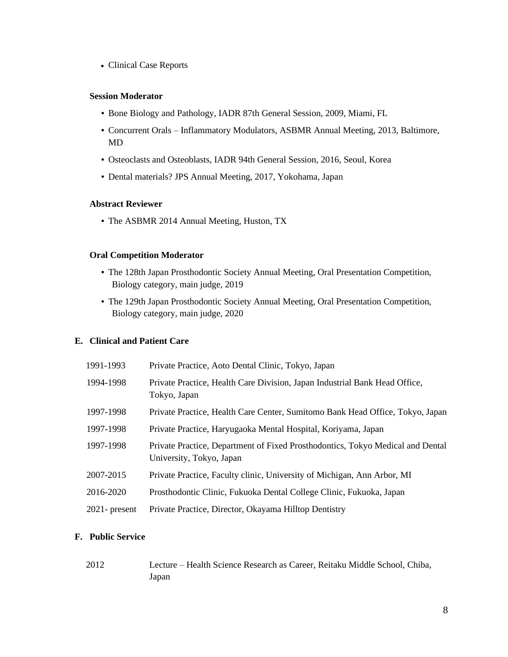• Clinical Case Reports

#### **Session Moderator**

- Bone Biology and Pathology, IADR 87th General Session, 2009, Miami, FL
- Concurrent Orals Inflammatory Modulators, ASBMR Annual Meeting, 2013, Baltimore, MD
- Osteoclasts and Osteoblasts, IADR 94th General Session, 2016, Seoul, Korea
- Dental materials? JPS Annual Meeting, 2017, Yokohama, Japan

#### **Abstract Reviewer**

• The ASBMR 2014 Annual Meeting, Huston, TX

#### **Oral Competition Moderator**

- The 128th Japan Prosthodontic Society Annual Meeting, Oral Presentation Competition, Biology category, main judge, 2019
- The 129th Japan Prosthodontic Society Annual Meeting, Oral Presentation Competition, Biology category, main judge, 2020

#### **E. Clinical and Patient Care**

| 1991-1993        | Private Practice, Aoto Dental Clinic, Tokyo, Japan                                                         |  |
|------------------|------------------------------------------------------------------------------------------------------------|--|
| 1994-1998        | Private Practice, Health Care Division, Japan Industrial Bank Head Office,<br>Tokyo, Japan                 |  |
| 1997-1998        | Private Practice, Health Care Center, Sumitomo Bank Head Office, Tokyo, Japan                              |  |
| 1997-1998        | Private Practice, Haryugaoka Mental Hospital, Koriyama, Japan                                              |  |
| 1997-1998        | Private Practice, Department of Fixed Prosthodontics, Tokyo Medical and Dental<br>University, Tokyo, Japan |  |
| 2007-2015        | Private Practice, Faculty clinic, University of Michigan, Ann Arbor, MI                                    |  |
| 2016-2020        | Prosthodontic Clinic, Fukuoka Dental College Clinic, Fukuoka, Japan                                        |  |
| $2021$ - present | Private Practice, Director, Okayama Hilltop Dentistry                                                      |  |

#### **F. Public Service**

2012 Lecture – Health Science Research as Career, Reitaku Middle School, Chiba, Japan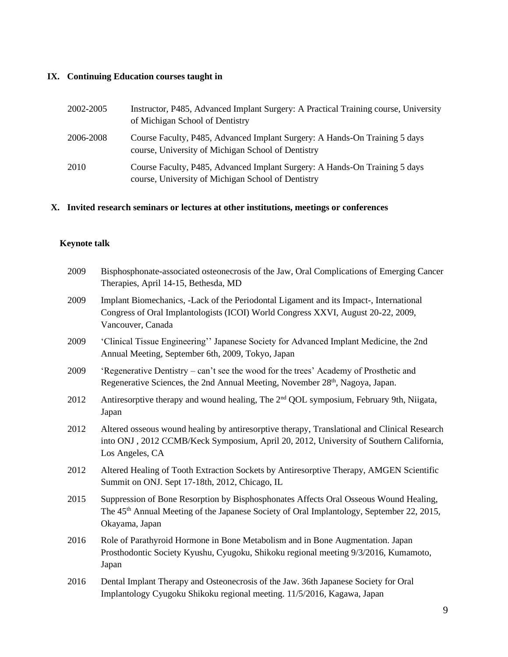# **IX. Continuing Education courses taught in**

| 2002-2005 | Instructor, P485, Advanced Implant Surgery: A Practical Training course, University<br>of Michigan School of Dentistry           |
|-----------|----------------------------------------------------------------------------------------------------------------------------------|
| 2006-2008 | Course Faculty, P485, Advanced Implant Surgery: A Hands-On Training 5 days<br>course, University of Michigan School of Dentistry |
| 2010      | Course Faculty, P485, Advanced Implant Surgery: A Hands-On Training 5 days<br>course, University of Michigan School of Dentistry |

# **X. Invited research seminars or lectures at other institutions, meetings or conferences**

# **Keynote talk**

| 2009 | Bisphosphonate-associated osteonecrosis of the Jaw, Oral Complications of Emerging Cancer<br>Therapies, April 14-15, Bethesda, MD                                                                                |
|------|------------------------------------------------------------------------------------------------------------------------------------------------------------------------------------------------------------------|
| 2009 | Implant Biomechanics, -Lack of the Periodontal Ligament and its Impact-, International<br>Congress of Oral Implantologists (ICOI) World Congress XXVI, August 20-22, 2009,<br>Vancouver, Canada                  |
| 2009 | 'Clinical Tissue Engineering'' Japanese Society for Advanced Implant Medicine, the 2nd<br>Annual Meeting, September 6th, 2009, Tokyo, Japan                                                                      |
| 2009 | 'Regenerative Dentistry – can't see the wood for the trees' Academy of Prosthetic and<br>Regenerative Sciences, the 2nd Annual Meeting, November 28th, Nagoya, Japan.                                            |
| 2012 | Antiresorptive therapy and wound healing, The 2 <sup>nd</sup> QOL symposium, February 9th, Niigata,<br>Japan                                                                                                     |
| 2012 | Altered osseous wound healing by antiresorptive therapy, Translational and Clinical Research<br>into ONJ, 2012 CCMB/Keck Symposium, April 20, 2012, University of Southern California,<br>Los Angeles, CA        |
| 2012 | Altered Healing of Tooth Extraction Sockets by Antiresorptive Therapy, AMGEN Scientific<br>Summit on ONJ. Sept 17-18th, 2012, Chicago, IL                                                                        |
| 2015 | Suppression of Bone Resorption by Bisphosphonates Affects Oral Osseous Wound Healing,<br>The 45 <sup>th</sup> Annual Meeting of the Japanese Society of Oral Implantology, September 22, 2015,<br>Okayama, Japan |
| 2016 | Role of Parathyroid Hormone in Bone Metabolism and in Bone Augmentation. Japan<br>Prosthodontic Society Kyushu, Cyugoku, Shikoku regional meeting 9/3/2016, Kumamoto,<br>Japan                                   |
| 2016 | Dental Implant Therapy and Osteonecrosis of the Jaw. 36th Japanese Society for Oral<br>Implantology Cyugoku Shikoku regional meeting. 11/5/2016, Kagawa, Japan                                                   |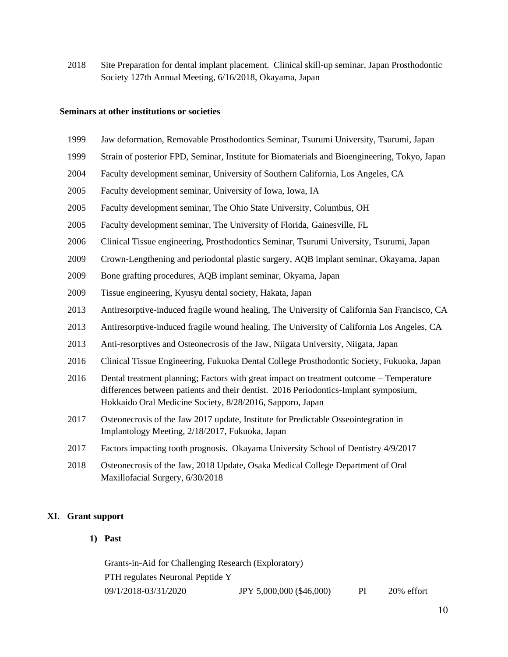Site Preparation for dental implant placement. Clinical skill-up seminar, Japan Prosthodontic Society 127th Annual Meeting, 6/16/2018, Okayama, Japan

#### **Seminars at other institutions or societies**

- Jaw deformation, Removable Prosthodontics Seminar, Tsurumi University, Tsurumi, Japan
- Strain of posterior FPD, Seminar, Institute for Biomaterials and Bioengineering, Tokyo, Japan
- Faculty development seminar, University of Southern California, Los Angeles, CA
- Faculty development seminar, University of Iowa, Iowa, IA
- Faculty development seminar, The Ohio State University, Columbus, OH
- Faculty development seminar, The University of Florida, Gainesville, FL
- Clinical Tissue engineering, Prosthodontics Seminar, Tsurumi University, Tsurumi, Japan
- Crown-Lengthening and periodontal plastic surgery, AQB implant seminar, Okayama, Japan
- Bone grafting procedures, AQB implant seminar, Okyama, Japan
- Tissue engineering, Kyusyu dental society, Hakata, Japan
- Antiresorptive-induced fragile wound healing, The University of California San Francisco, CA
- Antiresorptive-induced fragile wound healing, The University of California Los Angeles, CA
- 2013 Anti-resorptives and Osteonecrosis of the Jaw, Niigata University, Niigata, Japan
- Clinical Tissue Engineering, Fukuoka Dental College Prosthodontic Society, Fukuoka, Japan
- Dental treatment planning; Factors with great impact on treatment outcome Temperature differences between patients and their dentist. 2016 Periodontics-Implant symposium, Hokkaido Oral Medicine Society, 8/28/2016, Sapporo, Japan
- Osteonecrosis of the Jaw 2017 update, Institute for Predictable Osseointegration in Implantology Meeting, 2/18/2017, Fukuoka, Japan
- Factors impacting tooth prognosis. Okayama University School of Dentistry 4/9/2017
- Osteonecrosis of the Jaw, 2018 Update, Osaka Medical College Department of Oral Maxillofacial Surgery, 6/30/2018

#### **XI. Grant support**

**1) Past**

Grants-in-Aid for Challenging Research (Exploratory) PTH regulates Neuronal Peptide Y 09/1/2018-03/31/2020 JPY 5,000,000 (\$46,000) PI 20% effort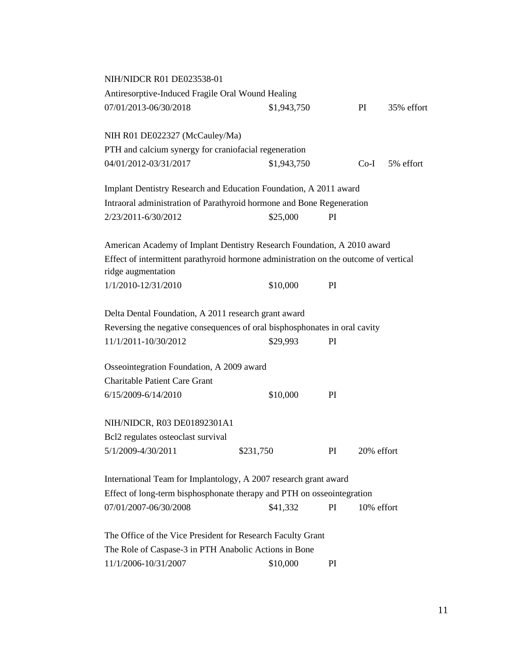| NIH/NIDCR R01 DE023538-01                                                            |             |    |            |            |
|--------------------------------------------------------------------------------------|-------------|----|------------|------------|
| Antiresorptive-Induced Fragile Oral Wound Healing                                    |             |    |            |            |
| 07/01/2013-06/30/2018                                                                | \$1,943,750 |    | PI         | 35% effort |
| NIH R01 DE022327 (McCauley/Ma)                                                       |             |    |            |            |
| PTH and calcium synergy for craniofacial regeneration                                |             |    |            |            |
| 04/01/2012-03/31/2017                                                                | \$1,943,750 |    | $Co-I$     | 5% effort  |
| Implant Dentistry Research and Education Foundation, A 2011 award                    |             |    |            |            |
| Intraoral administration of Parathyroid hormone and Bone Regeneration                |             |    |            |            |
| 2/23/2011-6/30/2012                                                                  | \$25,000    | PI |            |            |
| American Academy of Implant Dentistry Research Foundation, A 2010 award              |             |    |            |            |
| Effect of intermittent parathyroid hormone administration on the outcome of vertical |             |    |            |            |
| ridge augmentation                                                                   |             |    |            |            |
| 1/1/2010-12/31/2010                                                                  | \$10,000    | PI |            |            |
| Delta Dental Foundation, A 2011 research grant award                                 |             |    |            |            |
| Reversing the negative consequences of oral bisphosphonates in oral cavity           |             |    |            |            |
| 11/1/2011-10/30/2012                                                                 | \$29,993    | PI |            |            |
| Osseointegration Foundation, A 2009 award                                            |             |    |            |            |
| <b>Charitable Patient Care Grant</b>                                                 |             |    |            |            |
| 6/15/2009-6/14/2010                                                                  | \$10,000    | PI |            |            |
| NIH/NIDCR, R03 DE01892301A1                                                          |             |    |            |            |
| Bcl2 regulates osteoclast survival                                                   |             |    |            |            |
| 5/1/2009-4/30/2011                                                                   | \$231,750   | PI | 20% effort |            |
| International Team for Implantology, A 2007 research grant award                     |             |    |            |            |
| Effect of long-term bisphosphonate therapy and PTH on osseointegration               |             |    |            |            |
| 07/01/2007-06/30/2008                                                                | \$41,332    | PI | 10% effort |            |
| The Office of the Vice President for Research Faculty Grant                          |             |    |            |            |
| The Role of Caspase-3 in PTH Anabolic Actions in Bone                                |             |    |            |            |
| 11/1/2006-10/31/2007                                                                 | \$10,000    | PI |            |            |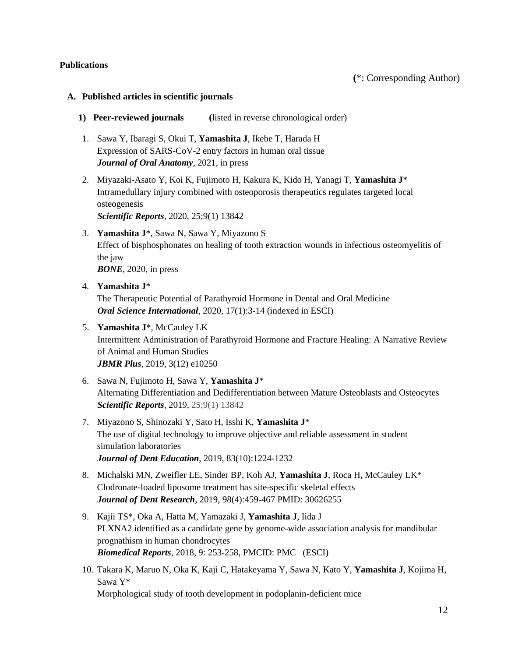#### **Publications**

## **A. Published articles in scientific journals**

- **1) Peer-reviewed journals (**listed in reverse chronological order)
- 1. Sawa Y, Ibaragi S, Okui T, **Yamashita J**, Ikebe T, Harada H Expression of SARS-CoV-2 entry factors in human oral tissue *Journal of Oral Anatomy,* 2021, in press
- 2. Miyazaki-Asato Y, Koi K, Fujimoto H, Kakura K, Kido H, Yanagi T, **Yamashita J**\* Intramedullary injury combined with osteoporosis therapeutics regulates targeted local osteogenesis

*Scientific Reports,* 2020, 25;9(1) 13842

- 3. **Yamashita J**\*, Sawa N, Sawa Y, Miyazono S Effect of bisphosphonates on healing of tooth extraction wounds in infectious osteomyelitis of the jaw *BONE,* 2020, in press
- 4. **Yamashita J**\* The Therapeutic Potential of Parathyroid Hormone in Dental and Oral Medicine *Oral Science International,* 2020, 17(1):3-14 (indexed in ESCI)
- 5. **Yamashita J**\*, McCauley LK Intermittent Administration of Parathyroid Hormone and Fracture Healing: A Narrative Review of Animal and Human Studies *JBMR Plus,* 2019, 3(12) e10250
- 6. Sawa N, Fujimoto H, Sawa Y, **Yamashita J**\* Alternating Differentiation and Dedifferentiation between Mature Osteoblasts and Osteocytes *Scientific Reports,* 2019, 25;9(1) 13842
- 7. Miyazono S, Shinozaki Y, Sato H, Isshi K, **Yamashita J**\* The use of digital technology to improve objective and reliable assessment in student simulation laboratories *Journal of Dent Education*, 2019, 83(10):1224-1232
- 8. Michalski MN, Zweifler LE, Sinder BP, Koh AJ, **Yamashita J**, Roca H, McCauley LK\* Clodronate-loaded liposome treatment has site-specific skeletal effects *Journal of Dent Research*, 2019, 98(4):459-467 PMID: 30626255
- 9. Kajii TS\*, Oka A, Hatta M, Yamazaki J, **Yamashita J**, Iida J PLXNA2 identified as a candidate gene by genome-wide association analysis for mandibular prognathism in human chondrocytes *Biomedical Reports*, 2018, 9: 253-258, PMCID: PMC (ESCI)
- 10. Takara K, Maruo N, Oka K, Kaji C, Hatakeyama Y, Sawa N, Kato Y, **Yamashita J**, Kojima H, Sawa Y\* Morphological study of tooth development in podoplanin-deficient mice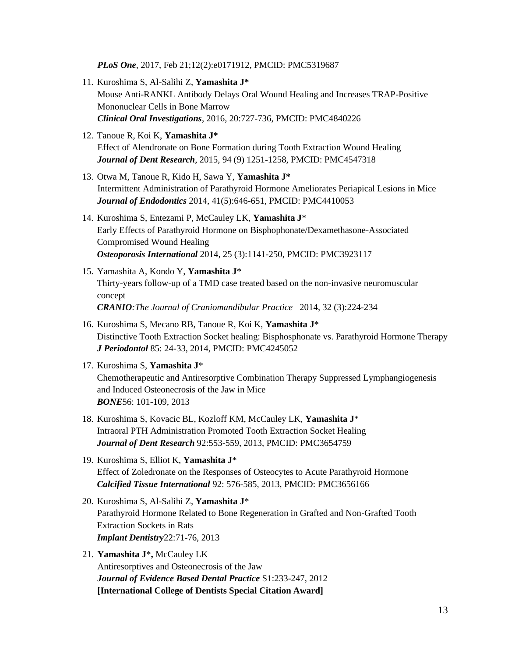*PLoS One*, 2017, Feb 21;12(2):e0171912, PMCID: PMC5319687

- 11. Kuroshima S, Al-Salihi Z, **Yamashita J\*** Mouse Anti-RANKL Antibody Delays Oral Wound Healing and Increases TRAP-Positive Mononuclear Cells in Bone Marrow *Clinical Oral Investigations*, 2016, 20:727-736, PMCID: PMC4840226
- 12. Tanoue R, Koi K, **Yamashita J\*** Effect of Alendronate on Bone Formation during Tooth Extraction Wound Healing *Journal of Dent Research*, 2015, 94 (9) 1251-1258, PMCID: PMC4547318
- 13. Otwa M, Tanoue R, Kido H, Sawa Y, **Yamashita J\*** Intermittent Administration of Parathyroid Hormone Ameliorates Periapical Lesions in Mice *Journal of Endodontics* 2014, 41(5):646-651, PMCID: PMC4410053
- 14. Kuroshima S, Entezami P, McCauley LK, **Yamashita J**\* Early Effects of Parathyroid Hormone on Bisphophonate/Dexamethasone-Associated Compromised Wound Healing *Osteoporosis International* 2014, 25 (3):1141-250, PMCID: PMC3923117
- 15. Yamashita A, Kondo Y, **Yamashita J**\* Thirty-years follow-up of a TMD case treated based on the non-invasive neuromuscular concept *CRANIO:The Journal of Craniomandibular Practice* 2014, 32 (3):224-234
- 16. Kuroshima S, Mecano RB, Tanoue R, Koi K, **Yamashita J**\* Distinctive Tooth Extraction Socket healing: Bisphosphonate vs. Parathyroid Hormone Therapy *J Periodontol* 85: 24-33, 2014, PMCID: PMC4245052
- 17. Kuroshima S, **Yamashita J**\* Chemotherapeutic and Antiresorptive Combination Therapy Suppressed Lymphangiogenesis and Induced Osteonecrosis of the Jaw in Mice *BONE*56: 101-109, 2013
- 18. Kuroshima S, Kovacic BL, Kozloff KM, McCauley LK, **Yamashita J**\* Intraoral PTH Administration Promoted Tooth Extraction Socket Healing *Journal of Dent Research* 92:553-559, 2013, PMCID: PMC3654759
- 19. Kuroshima S, Elliot K, **Yamashita J**\* Effect of Zoledronate on the Responses of Osteocytes to Acute Parathyroid Hormone *Calcified Tissue International* 92: 576-585, 2013, PMCID: PMC3656166
- 20. Kuroshima S, Al-Salihi Z, **Yamashita J**\* Parathyroid Hormone Related to Bone Regeneration in Grafted and Non-Grafted Tooth Extraction Sockets in Rats *Implant Dentistry*22:71-76, 2013
- 21. **Yamashita J**\***,** McCauley LK Antiresorptives and Osteonecrosis of the Jaw *Journal of Evidence Based Dental Practice* S1:233-247, 2012 **[International College of Dentists Special Citation Award]**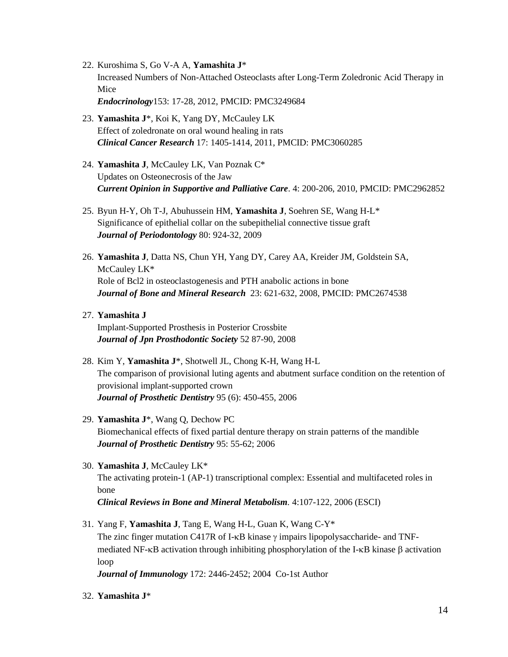- 22. Kuroshima S, Go V-A A, **Yamashita J**\* Increased Numbers of Non-Attached Osteoclasts after Long-Term Zoledronic Acid Therapy in Mice *Endocrinology*153: 17-28, 2012, PMCID: PMC3249684
- 23. **Yamashita J**\*, Koi K, Yang DY, McCauley LK Effect of zoledronate on oral wound healing in rats *Clinical Cancer Research* 17: 1405-1414, 2011, PMCID: PMC3060285
- 24. **Yamashita J**, McCauley LK, Van Poznak C\* Updates on Osteonecrosis of the Jaw *Current Opinion in Supportive and Palliative Care*. 4: 200-206, 2010, PMCID: PMC2962852
- 25. Byun H-Y, Oh T-J, Abuhussein HM, **Yamashita J**, Soehren SE, Wang H-L\* Significance of epithelial collar on the subepithelial connective tissue graft *Journal of Periodontology* 80: 924-32, 2009
- 26. **Yamashita J**, Datta NS, Chun YH, Yang DY, Carey AA, Kreider JM, Goldstein SA, McCauley LK\* Role of Bcl2 in osteoclastogenesis and PTH anabolic actions in bone *Journal of Bone and Mineral Research* 23: 621-632, 2008, PMCID: PMC2674538
- 27. **Yamashita J**

Implant-Supported Prosthesis in Posterior Crossbite *Journal of Jpn Prosthodontic Society* 52 87-90, 2008

- 28. Kim Y, **Yamashita J**\*, Shotwell JL, Chong K-H, Wang H-L The comparison of provisional luting agents and abutment surface condition on the retention of provisional implant-supported crown *Journal of Prosthetic Dentistry* 95 (6): 450-455, 2006
- 29. **Yamashita J**\*, Wang Q, Dechow PC Biomechanical effects of fixed partial denture therapy on strain patterns of the mandible *Journal of Prosthetic Dentistry* 95: 55-62; 2006
- 30. **Yamashita J**, McCauley LK\* The activating protein-1 (AP-1) transcriptional complex: Essential and multifaceted roles in bone *Clinical Reviews in Bone and Mineral Metabolism.* 4:107-122, 2006 (ESCI)
- 31. Yang F, **Yamashita J**, Tang E, Wang H-L, Guan K, Wang C-Y\* The zinc finger mutation C417R of I- $\kappa$ B kinase  $\gamma$  impairs lipopolysaccharide- and TNFmediated NF- $\kappa$ B activation through inhibiting phosphorylation of the I- $\kappa$ B kinase  $\beta$  activation loop
	- *Journal of Immunology* 172: 2446-2452; 2004 Co-1st Author
- 32. **Yamashita J**\*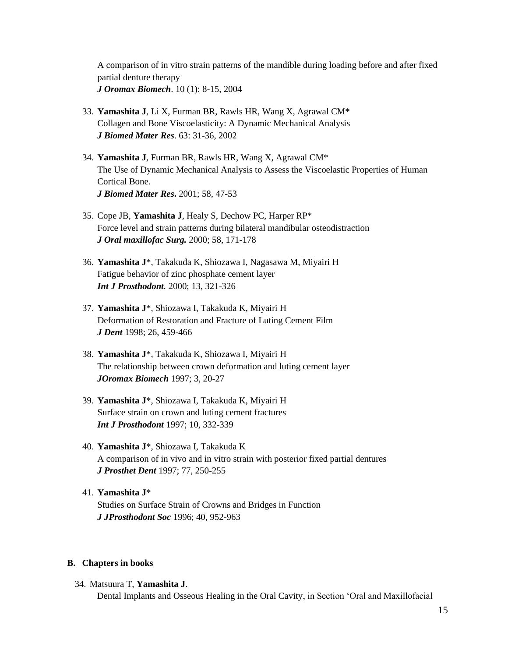A comparison of in vitro strain patterns of the mandible during loading before and after fixed partial denture therapy *J Oromax Biomech*. 10 (1): 8-15, 2004

- 33. **Yamashita J**, Li X, Furman BR, Rawls HR, Wang X, Agrawal CM\* Collagen and Bone Viscoelasticity: A Dynamic Mechanical Analysis *J Biomed Mater Res*. 63: 31-36, 2002
- 34. **Yamashita J**, Furman BR, Rawls HR, Wang X, Agrawal CM\* The Use of Dynamic Mechanical Analysis to Assess the Viscoelastic Properties of Human Cortical Bone. *J Biomed Mater Res***.** 2001; 58, 47-53
- 35. Cope JB, **Yamashita J**, Healy S, Dechow PC, Harper RP\* Force level and strain patterns during bilateral mandibular osteodistraction *J Oral maxillofac Surg.* 2000; 58, 171-178
- 36. **Yamashita J**\*, Takakuda K, Shiozawa I, Nagasawa M, Miyairi H Fatigue behavior of zinc phosphate cement layer *Int J Prosthodont.* 2000; 13, 321-326
- 37. **Yamashita J**\*, Shiozawa I, Takakuda K, Miyairi H Deformation of Restoration and Fracture of Luting Cement Film *J Dent* 1998; 26, 459-466
- 38. **Yamashita J**\*, Takakuda K, Shiozawa I, Miyairi H The relationship between crown deformation and luting cement layer *JOromax Biomech* 1997; 3, 20-27
- 39. **Yamashita J**\*, Shiozawa I, Takakuda K, Miyairi H Surface strain on crown and luting cement fractures *Int J Prosthodont* 1997; 10, 332-339
- 40. **Yamashita J**\*, Shiozawa I, Takakuda K A comparison of in vivo and in vitro strain with posterior fixed partial dentures *J Prosthet Dent* 1997; 77, 250-255
- 41. **Yamashita J**\* Studies on Surface Strain of Crowns and Bridges in Function *J JProsthodont Soc* 1996; 40, 952-963

#### **B. Chapters in books**

34. Matsuura T, **Yamashita J**. Dental Implants and Osseous Healing in the Oral Cavity, in Section 'Oral and Maxillofacial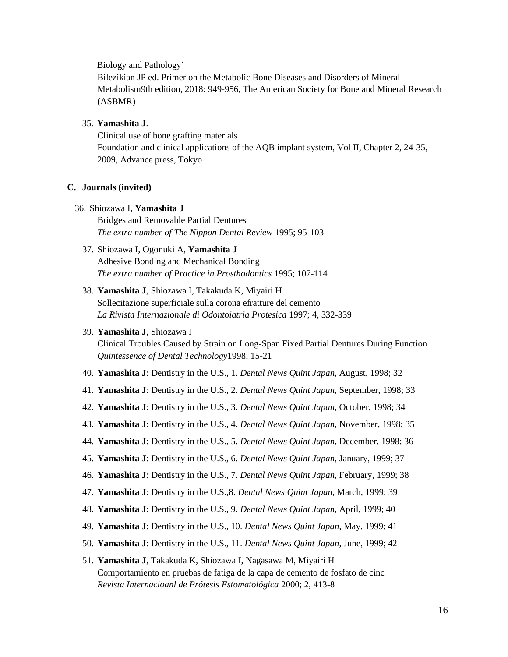Biology and Pathology'

Bilezikian JP ed. Primer on the Metabolic Bone Diseases and Disorders of Mineral Metabolism9th edition, 2018: 949-956, The American Society for Bone and Mineral Research (ASBMR)

#### 35. **Yamashita J**.

Clinical use of bone grafting materials Foundation and clinical applications of the AQB implant system, Vol II, Chapter 2, 24-35, 2009, Advance press, Tokyo

#### **C. Journals (invited)**

#### 36. Shiozawa I, **Yamashita J**

Bridges and Removable Partial Dentures *The extra number of The Nippon Dental Review* 1995; 95-103

# 37. Shiozawa I, Ogonuki A, **Yamashita J** Adhesive Bonding and Mechanical Bonding *The extra number of Practice in Prosthodontics* 1995; 107-114

# 38. **Yamashita J**, Shiozawa I, Takakuda K, Miyairi H Sollecitazione superficiale sulla corona efratture del cemento *La Rivista Internazionale di Odontoiatria Protesica* 1997; 4, 332-339

#### 39. **Yamashita J**, Shiozawa I

Clinical Troubles Caused by Strain on Long-Span Fixed Partial Dentures During Function *Quintessence of Dental Technology*1998; 15-21

- 40. **Yamashita J**: Dentistry in the U.S., 1. *Dental News Quint Japan*, August, 1998; 32
- 41. **Yamashita J**: Dentistry in the U.S., 2. *Dental News Quint Japan*, September, 1998; 33
- 42. **Yamashita J**: Dentistry in the U.S., 3. *Dental News Quint Japan*, October, 1998; 34
- 43. **Yamashita J**: Dentistry in the U.S., 4. *Dental News Quint Japan*, November, 1998; 35
- 44. **Yamashita J**: Dentistry in the U.S., 5. *Dental News Quint Japan*, December, 1998; 36
- 45. **Yamashita J**: Dentistry in the U.S., 6. *Dental News Quint Japan*, January, 1999; 37
- 46. **Yamashita J**: Dentistry in the U.S., 7. *Dental News Quint Japan*, February, 1999; 38
- 47. **Yamashita J**: Dentistry in the U.S.,8. *Dental News Quint Japan*, March, 1999; 39
- 48. **Yamashita J**: Dentistry in the U.S., 9. *Dental News Quint Japan*, April, 1999; 40
- 49. **Yamashita J**: Dentistry in the U.S., 10. *Dental News Quint Japan*, May, 1999; 41
- 50. **Yamashita J**: Dentistry in the U.S., 11. *Dental News Quint Japan*, June, 1999; 42

51. **Yamashita J**, Takakuda K, Shiozawa I, Nagasawa M, Miyairi H Comportamiento en pruebas de fatiga de la capa de cemento de fosfato de cinc *Revista Internacioanl de Prótesis Estomatológica* 2000; 2, 413-8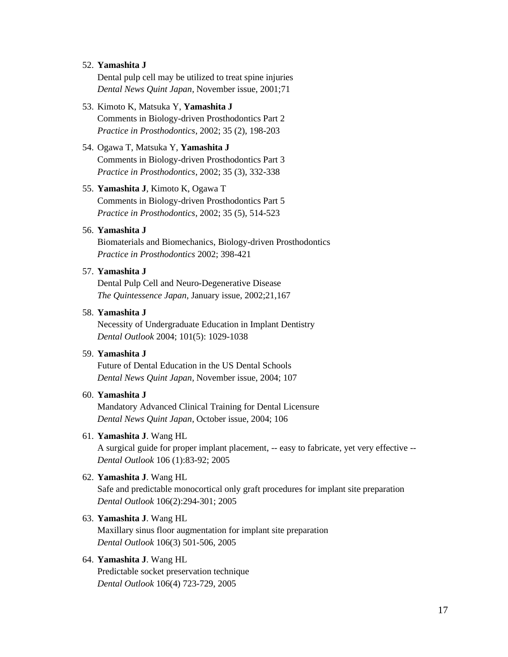#### 52. **Yamashita J**

Dental pulp cell may be utilized to treat spine injuries *Dental News Quint Japan*, November issue, 2001;71

- 53. Kimoto K, Matsuka Y, **Yamashita J** Comments in Biology-driven Prosthodontics Part 2 *Practice in Prosthodontics*, 2002; 35 (2), 198-203
- 54. Ogawa T, Matsuka Y, **Yamashita J**  Comments in Biology-driven Prosthodontics Part 3 *Practice in Prosthodontics*, 2002; 35 (3), 332-338

## 55. **Yamashita J**, Kimoto K, Ogawa T

Comments in Biology-driven Prosthodontics Part 5 *Practice in Prosthodontics*, 2002; 35 (5), 514-523

#### 56. **Yamashita J**

Biomaterials and Biomechanics, Biology-driven Prosthodontics *Practice in Prosthodontics* 2002; 398-421

# 57. **Yamashita J**

Dental Pulp Cell and Neuro-Degenerative Disease *The Quintessence Japan*, January issue, 2002;21,167

#### 58. **Yamashita J**

Necessity of Undergraduate Education in Implant Dentistry *Dental Outlook* 2004; 101(5): 1029-1038

# 59. **Yamashita J**

Future of Dental Education in the US Dental Schools *Dental News Quint Japan*, November issue, 2004; 107

# 60. **Yamashita J**

Mandatory Advanced Clinical Training for Dental Licensure *Dental News Quint Japan*, October issue, 2004; 106

#### 61. **Yamashita J**. Wang HL

A surgical guide for proper implant placement, -- easy to fabricate, yet very effective -- *Dental Outlook* 106 (1):83-92; 2005

#### 62. **Yamashita J**. Wang HL

Safe and predictable monocortical only graft procedures for implant site preparation *Dental Outlook* 106(2):294-301; 2005

#### 63. **Yamashita J**. Wang HL

Maxillary sinus floor augmentation for implant site preparation *Dental Outlook* 106(3) 501-506, 2005

#### 64. **Yamashita J**. Wang HL

Predictable socket preservation technique *Dental Outlook* 106(4) 723-729, 2005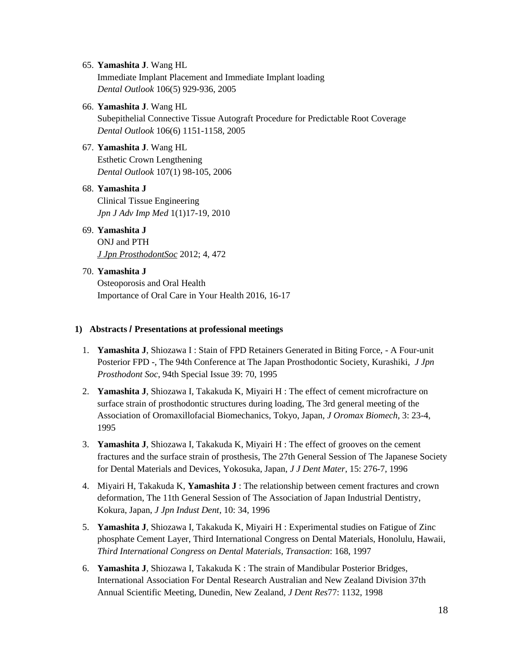#### 65. **Yamashita J**. Wang HL

Immediate Implant Placement and Immediate Implant loading *Dental Outlook* 106(5) 929-936, 2005

66. **Yamashita J**. Wang HL

Subepithelial Connective Tissue Autograft Procedure for Predictable Root Coverage *Dental Outlook* 106(6) 1151-1158, 2005

## 67. **Yamashita J**. Wang HL

Esthetic Crown Lengthening *Dental Outlook* 107(1) 98-105, 2006

## 68. **Yamashita J**

Clinical Tissue Engineering *Jpn J Adv Imp Med* 1(1)17-19, 2010

## 69. **Yamashita J**

ONJ and PTH *J Jpn ProsthodontSoc* 2012; 4, 472

## 70. **Yamashita J**

Osteoporosis and Oral Health Importance of Oral Care in Your Health 2016, 16-17

#### **1) Abstracts / Presentations at professional meetings**

- 1. **Yamashita J**, Shiozawa I : Stain of FPD Retainers Generated in Biting Force, A Four-unit Posterior FPD -, The 94th Conference at The Japan Prosthodontic Society, Kurashiki, *J Jpn Prosthodont Soc*, 94th Special Issue 39: 70, 1995
- 2. **Yamashita J**, Shiozawa I, Takakuda K, Miyairi H : The effect of cement microfracture on surface strain of prosthodontic structures during loading, The 3rd general meeting of the Association of Oromaxillofacial Biomechanics, Tokyo, Japan, *J Oromax Biomech*, 3: 23-4, 1995
- 3. **Yamashita J**, Shiozawa I, Takakuda K, Miyairi H : The effect of grooves on the cement fractures and the surface strain of prosthesis, The 27th General Session of The Japanese Society for Dental Materials and Devices, Yokosuka, Japan, *J J Dent Mater*, 15: 276-7, 1996
- 4. Miyairi H, Takakuda K, **Yamashita J** : The relationship between cement fractures and crown deformation, The 11th General Session of The Association of Japan Industrial Dentistry, Kokura, Japan, *J Jpn Indust Dent*, 10: 34, 1996
- 5. **Yamashita J**, Shiozawa I, Takakuda K, Miyairi H : Experimental studies on Fatigue of Zinc phosphate Cement Layer, Third International Congress on Dental Materials, Honolulu, Hawaii, *Third International Congress on Dental Materials, Transaction*: 168, 1997
- 6. **Yamashita J**, Shiozawa I, Takakuda K : The strain of Mandibular Posterior Bridges, International Association For Dental Research Australian and New Zealand Division 37th Annual Scientific Meeting, Dunedin, New Zealand, *J Dent Res*77: 1132, 1998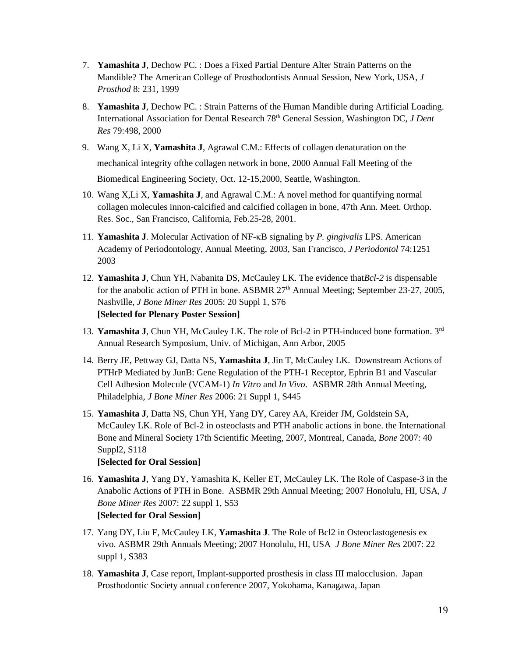- 7. **Yamashita J**, Dechow PC. : Does a Fixed Partial Denture Alter Strain Patterns on the Mandible? The American College of Prosthodontists Annual Session, New York, USA, *J Prosthod* 8: 231, 1999
- 8. **Yamashita J**, Dechow PC. : Strain Patterns of the Human Mandible during Artificial Loading. International Association for Dental Research 78th General Session, Washington DC, *J Dent Res* 79:498, 2000
- 9. Wang X, Li X, **Yamashita J**, Agrawal C.M.: Effects of collagen denaturation on the mechanical integrity ofthe collagen network in bone, 2000 Annual Fall Meeting of the Biomedical Engineering Society, Oct. 12-15,2000, Seattle, Washington.
- 10. Wang X,Li X, **Yamashita J**, and Agrawal C.M.: A novel method for quantifying normal collagen molecules innon-calcified and calcified collagen in bone, 47th Ann. Meet. Orthop. Res. Soc., San Francisco, California, Feb.25-28, 2001.
- 11. **Yamashita J**. Molecular Activation of NF-KB signaling by *P. gingivalis* LPS. American Academy of Periodontology, Annual Meeting, 2003, San Francisco, *J Periodontol* 74:1251 2003
- 12. **Yamashita J**, Chun YH, Nabanita DS, McCauley LK. The evidence that*Bcl-2* is dispensable for the anabolic action of PTH in bone. ASBMR 27<sup>th</sup> Annual Meeting; September 23-27, 2005, Nashville, *J Bone Miner Res* 2005: 20 Suppl 1, S76 **[Selected for Plenary Poster Session]**
- 13. **Yamashita J**, Chun YH, McCauley LK. The role of Bcl-2 in PTH-induced bone formation. 3rd Annual Research Symposium, Univ. of Michigan, Ann Arbor, 2005
- 14. Berry JE, Pettway GJ, Datta NS, **Yamashita J**, Jin T, McCauley LK. Downstream Actions of PTHrP Mediated by JunB: Gene Regulation of the PTH-1 Receptor, Ephrin B1 and Vascular Cell Adhesion Molecule (VCAM-1) *In Vitro* and *In Vivo*. ASBMR 28th Annual Meeting, Philadelphia, *J Bone Miner Res* 2006: 21 Suppl 1, S445
- 15. **Yamashita J**, Datta NS, Chun YH, Yang DY, Carey AA, Kreider JM, Goldstein SA, McCauley LK. Role of Bcl-2 in osteoclasts and PTH anabolic actions in bone. the International Bone and Mineral Society 17th Scientific Meeting, 2007, Montreal, Canada, *Bone* 2007: 40 Suppl2, S118

# **[Selected for Oral Session]**

- 16. **Yamashita J**, Yang DY, Yamashita K, Keller ET, McCauley LK. The Role of Caspase-3 in the Anabolic Actions of PTH in Bone. ASBMR 29th Annual Meeting; 2007 Honolulu, HI, USA, *J Bone Miner Res* 2007: 22 suppl 1, S53 **[Selected for Oral Session]**
- 17. Yang DY, Liu F, McCauley LK, **Yamashita J**. The Role of Bcl2 in Osteoclastogenesis ex vivo. ASBMR 29th Annuals Meeting; 2007 Honolulu, HI, USA *J Bone Miner Res* 2007: 22 suppl 1, S383
- 18. **Yamashita J**, Case report, Implant-supported prosthesis in class III malocclusion. Japan Prosthodontic Society annual conference 2007, Yokohama, Kanagawa, Japan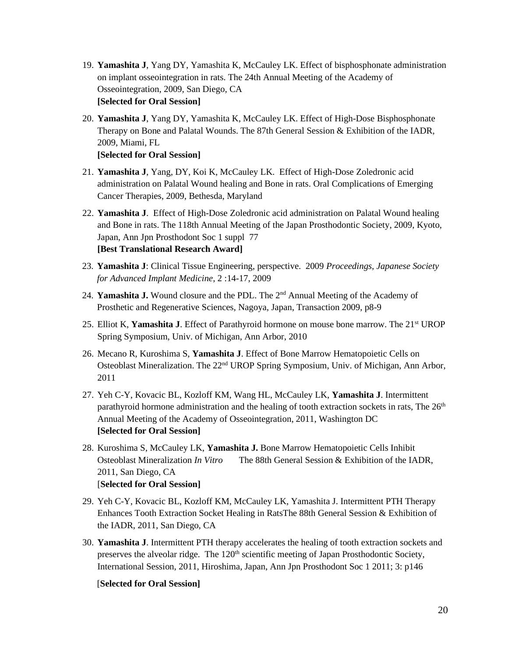- 19. **Yamashita J**, Yang DY, Yamashita K, McCauley LK. Effect of bisphosphonate administration on implant osseointegration in rats. The 24th Annual Meeting of the Academy of Osseointegration, 2009, San Diego, CA **[Selected for Oral Session]**
- 20. **Yamashita J**, Yang DY, Yamashita K, McCauley LK. Effect of High-Dose Bisphosphonate Therapy on Bone and Palatal Wounds. The 87th General Session & Exhibition of the IADR, 2009, Miami, FL

**[Selected for Oral Session]**

- 21. **Yamashita J**, Yang, DY, Koi K, McCauley LK. Effect of High-Dose Zoledronic acid administration on Palatal Wound healing and Bone in rats. Oral Complications of Emerging Cancer Therapies, 2009, Bethesda, Maryland
- 22. **Yamashita J**. Effect of High-Dose Zoledronic acid administration on Palatal Wound healing and Bone in rats. The 118th Annual Meeting of the Japan Prosthodontic Society, 2009, Kyoto, Japan, Ann Jpn Prosthodont Soc 1 suppl 77 **[Best Translational Research Award]**
- 23. **Yamashita J**: Clinical Tissue Engineering, perspective. 2009 *Proceedings, Japanese Society for Advanced Implant Medicine*, 2 :14-17, 2009
- 24. **Yamashita J.** Wound closure and the PDL. The 2nd Annual Meeting of the Academy of Prosthetic and Regenerative Sciences, Nagoya, Japan, Transaction 2009, p8-9
- 25. Elliot K, **Yamashita J**. Effect of Parathyroid hormone on mouse bone marrow. The 21<sup>st</sup> UROP Spring Symposium, Univ. of Michigan, Ann Arbor, 2010
- 26. Mecano R, Kuroshima S, **Yamashita J**. Effect of Bone Marrow Hematopoietic Cells on Osteoblast Mineralization. The 22nd UROP Spring Symposium, Univ. of Michigan, Ann Arbor, 2011
- 27. Yeh C-Y, Kovacic BL, Kozloff KM, Wang HL, McCauley LK, **Yamashita J**. Intermittent parathyroid hormone administration and the healing of tooth extraction sockets in rats, The  $26<sup>th</sup>$ Annual Meeting of the Academy of Osseointegration, 2011, Washington DC **[Selected for Oral Session]**
- 28. Kuroshima S, McCauley LK, **Yamashita J.** Bone Marrow Hematopoietic Cells Inhibit Osteoblast Mineralization *In Vitro* The 88th General Session & Exhibition of the IADR, 2011, San Diego, CA [**Selected for Oral Session]**
- 29. Yeh C-Y, Kovacic BL, Kozloff KM, McCauley LK, Yamashita J. Intermittent PTH Therapy Enhances Tooth Extraction Socket Healing in RatsThe 88th General Session & Exhibition of the IADR, 2011, San Diego, CA
- 30. **Yamashita J**. Intermittent PTH therapy accelerates the healing of tooth extraction sockets and preserves the alveolar ridge. The  $120<sup>th</sup>$  scientific meeting of Japan Prosthodontic Society, International Session, 2011, Hiroshima, Japan, Ann Jpn Prosthodont Soc 1 2011; 3: p146

#### [**Selected for Oral Session]**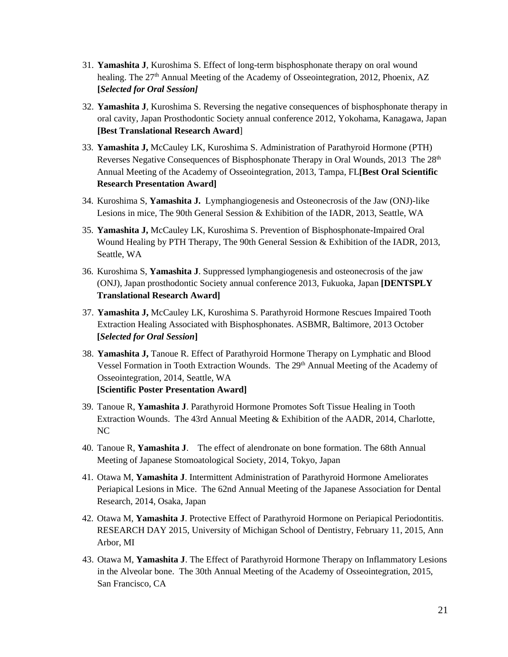- 31. **Yamashita J**, Kuroshima S. Effect of long-term bisphosphonate therapy on oral wound healing. The 27<sup>th</sup> Annual Meeting of the Academy of Osseointegration, 2012, Phoenix, AZ **[***Selected for Oral Session]*
- 32. **Yamashita J**, Kuroshima S. Reversing the negative consequences of bisphosphonate therapy in oral cavity, Japan Prosthodontic Society annual conference 2012, Yokohama, Kanagawa, Japan **[Best Translational Research Award**]
- 33. **Yamashita J,** McCauley LK, Kuroshima S. Administration of Parathyroid Hormone (PTH) Reverses Negative Consequences of Bisphosphonate Therapy in Oral Wounds, 2013 The 28<sup>th</sup> Annual Meeting of the Academy of Osseointegration, 2013, Tampa, FL**[Best Oral Scientific Research Presentation Award]**
- 34. Kuroshima S, **Yamashita J.** Lymphangiogenesis and Osteonecrosis of the Jaw (ONJ)-like Lesions in mice, The 90th General Session & Exhibition of the IADR, 2013, Seattle, WA
- 35. **Yamashita J,** McCauley LK, Kuroshima S. Prevention of Bisphosphonate-Impaired Oral Wound Healing by PTH Therapy, The 90th General Session & Exhibition of the IADR, 2013, Seattle, WA
- 36. Kuroshima S, **Yamashita J**. Suppressed lymphangiogenesis and osteonecrosis of the jaw (ONJ), Japan prosthodontic Society annual conference 2013, Fukuoka, Japan **[DENTSPLY Translational Research Award]**
- 37. **Yamashita J,** McCauley LK, Kuroshima S. Parathyroid Hormone Rescues Impaired Tooth Extraction Healing Associated with Bisphosphonates. ASBMR, Baltimore, 2013 October **[***Selected for Oral Session***]**
- 38. **Yamashita J,** Tanoue R. Effect of Parathyroid Hormone Therapy on Lymphatic and Blood Vessel Formation in Tooth Extraction Wounds. The 29<sup>th</sup> Annual Meeting of the Academy of Osseointegration, 2014, Seattle, WA **[Scientific Poster Presentation Award]**
- 39. Tanoue R, **Yamashita J**. Parathyroid Hormone Promotes Soft Tissue Healing in Tooth Extraction Wounds. The 43rd Annual Meeting & Exhibition of the AADR, 2014, Charlotte, NC
- 40. Tanoue R, **Yamashita J**. The effect of alendronate on bone formation. The 68th Annual Meeting of Japanese Stomoatological Society, 2014, Tokyo, Japan
- 41. Otawa M, **Yamashita J**. Intermittent Administration of Parathyroid Hormone Ameliorates Periapical Lesions in Mice. The 62nd Annual Meeting of the Japanese Association for Dental Research, 2014, Osaka, Japan
- 42. Otawa M, **Yamashita J**. Protective Effect of Parathyroid Hormone on Periapical Periodontitis. RESEARCH DAY 2015, University of Michigan School of Dentistry, February 11, 2015, Ann Arbor, MI
- 43. Otawa M, **Yamashita J**. The Effect of Parathyroid Hormone Therapy on Inflammatory Lesions in the Alveolar bone. The 30th Annual Meeting of the Academy of Osseointegration, 2015, San Francisco, CA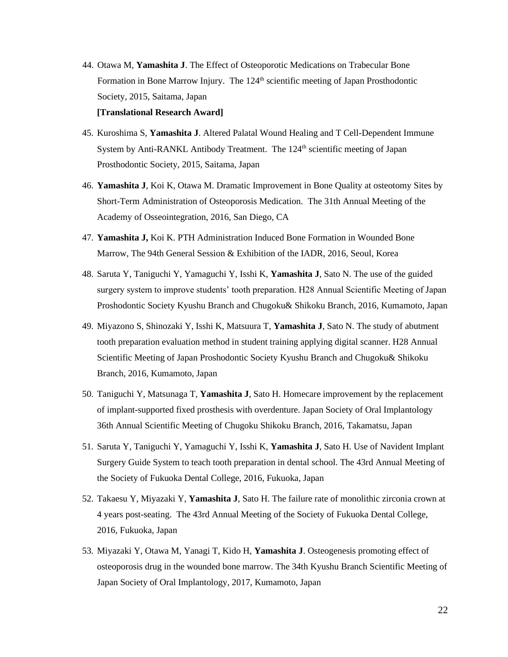- 44. Otawa M, **Yamashita J**. The Effect of Osteoporotic Medications on Trabecular Bone Formation in Bone Marrow Injury. The 124<sup>th</sup> scientific meeting of Japan Prosthodontic Society, 2015, Saitama, Japan **[Translational Research Award]**
- 45. Kuroshima S, **Yamashita J**. Altered Palatal Wound Healing and T Cell-Dependent Immune System by Anti-RANKL Antibody Treatment. The  $124<sup>th</sup>$  scientific meeting of Japan Prosthodontic Society, 2015, Saitama, Japan
- 46. **Yamashita J**, Koi K, Otawa M. Dramatic Improvement in Bone Quality at osteotomy Sites by Short-Term Administration of Osteoporosis Medication. The 31th Annual Meeting of the Academy of Osseointegration, 2016, San Diego, CA
- 47. **Yamashita J,** Koi K. PTH Administration Induced Bone Formation in Wounded Bone Marrow, The 94th General Session & Exhibition of the IADR, 2016, Seoul, Korea
- 48. Saruta Y, Taniguchi Y, Yamaguchi Y, Isshi K, **Yamashita J**, Sato N. The use of the guided surgery system to improve students' tooth preparation. H28 Annual Scientific Meeting of Japan Proshodontic Society Kyushu Branch and Chugoku& Shikoku Branch, 2016, Kumamoto, Japan
- 49. Miyazono S, Shinozaki Y, Isshi K, Matsuura T, **Yamashita J**, Sato N. The study of abutment tooth preparation evaluation method in student training applying digital scanner. H28 Annual Scientific Meeting of Japan Proshodontic Society Kyushu Branch and Chugoku& Shikoku Branch, 2016, Kumamoto, Japan
- 50. Taniguchi Y, Matsunaga T, **Yamashita J**, Sato H. Homecare improvement by the replacement of implant-supported fixed prosthesis with overdenture. Japan Society of Oral Implantology 36th Annual Scientific Meeting of Chugoku Shikoku Branch, 2016, Takamatsu, Japan
- 51. Saruta Y, Taniguchi Y, Yamaguchi Y, Isshi K, **Yamashita J**, Sato H. Use of Navident Implant Surgery Guide System to teach tooth preparation in dental school. The 43rd Annual Meeting of the Society of Fukuoka Dental College, 2016, Fukuoka, Japan
- 52. Takaesu Y, Miyazaki Y, **Yamashita J**, Sato H. The failure rate of monolithic zirconia crown at 4 years post-seating. The 43rd Annual Meeting of the Society of Fukuoka Dental College, 2016, Fukuoka, Japan
- 53. Miyazaki Y, Otawa M, Yanagi T, Kido H, **Yamashita J**. Osteogenesis promoting effect of osteoporosis drug in the wounded bone marrow. The 34th Kyushu Branch Scientific Meeting of Japan Society of Oral Implantology, 2017, Kumamoto, Japan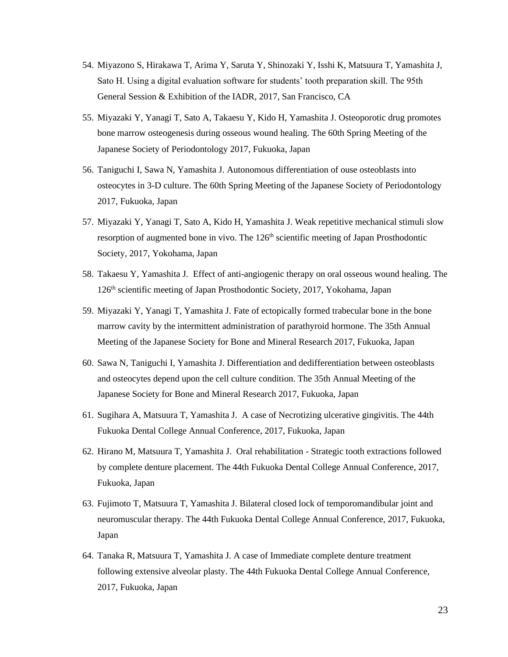- 54. Miyazono S, Hirakawa T, Arima Y, Saruta Y, Shinozaki Y, Isshi K, Matsuura T, Yamashita J, Sato H. Using a digital evaluation software for students' tooth preparation skill. The 95th General Session & Exhibition of the IADR, 2017, San Francisco, CA
- 55. Miyazaki Y, Yanagi T, Sato A, Takaesu Y, Kido H, Yamashita J. Osteoporotic drug promotes bone marrow osteogenesis during osseous wound healing. The 60th Spring Meeting of the Japanese Society of Periodontology 2017, Fukuoka, Japan
- 56. Taniguchi I, Sawa N, Yamashita J. Autonomous differentiation of ouse osteoblasts into osteocytes in 3-D culture. The 60th Spring Meeting of the Japanese Society of Periodontology 2017, Fukuoka, Japan
- 57. Miyazaki Y, Yanagi T, Sato A, Kido H, Yamashita J. Weak repetitive mechanical stimuli slow resorption of augmented bone in vivo. The  $126<sup>th</sup>$  scientific meeting of Japan Prosthodontic Society, 2017, Yokohama, Japan
- 58. Takaesu Y, Yamashita J. Effect of anti-angiogenic therapy on oral osseous wound healing. The 126th scientific meeting of Japan Prosthodontic Society, 2017, Yokohama, Japan
- 59. Miyazaki Y, Yanagi T, Yamashita J. Fate of ectopically formed trabecular bone in the bone marrow cavity by the intermittent administration of parathyroid hormone. The 35th Annual Meeting of the Japanese Society for Bone and Mineral Research 2017, Fukuoka, Japan
- 60. Sawa N, Taniguchi I, Yamashita J. Differentiation and dedifferentiation between osteoblasts and osteocytes depend upon the cell culture condition. The 35th Annual Meeting of the Japanese Society for Bone and Mineral Research 2017, Fukuoka, Japan
- 61. Sugihara A, Matsuura T, Yamashita J. A case of Necrotizing ulcerative gingivitis. The 44th Fukuoka Dental College Annual Conference, 2017, Fukuoka, Japan
- 62. Hirano M, Matsuura T, Yamashita J. Oral rehabilitation Strategic tooth extractions followed by complete denture placement. The 44th Fukuoka Dental College Annual Conference, 2017, Fukuoka, Japan
- 63. Fujimoto T, Matsuura T, Yamashita J. Bilateral closed lock of temporomandibular joint and neuromuscular therapy. The 44th Fukuoka Dental College Annual Conference, 2017, Fukuoka, Japan
- 64. Tanaka R, Matsuura T, Yamashita J. A case of Immediate complete denture treatment following extensive alveolar plasty. The 44th Fukuoka Dental College Annual Conference, 2017, Fukuoka, Japan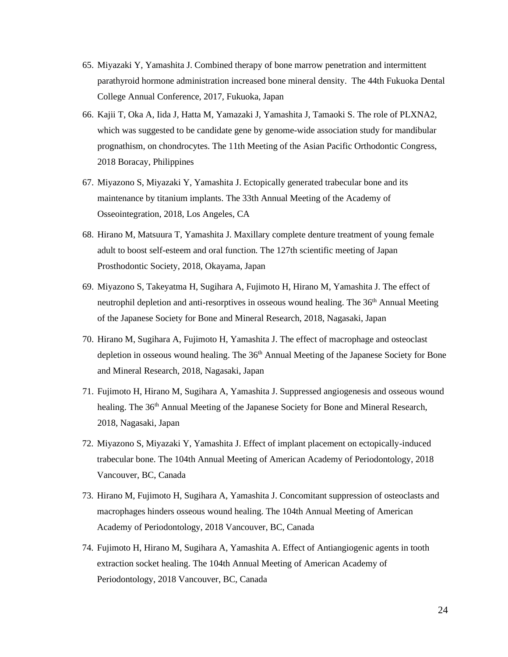- 65. Miyazaki Y, Yamashita J. Combined therapy of bone marrow penetration and intermittent parathyroid hormone administration increased bone mineral density. The 44th Fukuoka Dental College Annual Conference, 2017, Fukuoka, Japan
- 66. Kajii T, Oka A, Iida J, Hatta M, Yamazaki J, Yamashita J, Tamaoki S. The role of PLXNA2, which was suggested to be candidate gene by genome-wide association study for mandibular prognathism, on chondrocytes. The 11th Meeting of the Asian Pacific Orthodontic Congress, 2018 Boracay, Philippines
- 67. Miyazono S, Miyazaki Y, Yamashita J. Ectopically generated trabecular bone and its maintenance by titanium implants. The 33th Annual Meeting of the Academy of Osseointegration, 2018, Los Angeles, CA
- 68. Hirano M, Matsuura T, Yamashita J. Maxillary complete denture treatment of young female adult to boost self-esteem and oral function. The 127th scientific meeting of Japan Prosthodontic Society, 2018, Okayama, Japan
- 69. Miyazono S, Takeyatma H, Sugihara A, Fujimoto H, Hirano M, Yamashita J. The effect of neutrophil depletion and anti-resorptives in osseous wound healing. The  $36<sup>th</sup>$  Annual Meeting of the Japanese Society for Bone and Mineral Research, 2018, Nagasaki, Japan
- 70. Hirano M, Sugihara A, Fujimoto H, Yamashita J. The effect of macrophage and osteoclast depletion in osseous wound healing. The 36<sup>th</sup> Annual Meeting of the Japanese Society for Bone and Mineral Research, 2018, Nagasaki, Japan
- 71. Fujimoto H, Hirano M, Sugihara A, Yamashita J. Suppressed angiogenesis and osseous wound healing. The 36<sup>th</sup> Annual Meeting of the Japanese Society for Bone and Mineral Research, 2018, Nagasaki, Japan
- 72. Miyazono S, Miyazaki Y, Yamashita J. Effect of implant placement on ectopically-induced trabecular bone. The 104th Annual Meeting of American Academy of Periodontology, 2018 Vancouver, BC, Canada
- 73. Hirano M, Fujimoto H, Sugihara A, Yamashita J. Concomitant suppression of osteoclasts and macrophages hinders osseous wound healing. The 104th Annual Meeting of American Academy of Periodontology, 2018 Vancouver, BC, Canada
- 74. Fujimoto H, Hirano M, Sugihara A, Yamashita A. Effect of Antiangiogenic agents in tooth extraction socket healing. The 104th Annual Meeting of American Academy of Periodontology, 2018 Vancouver, BC, Canada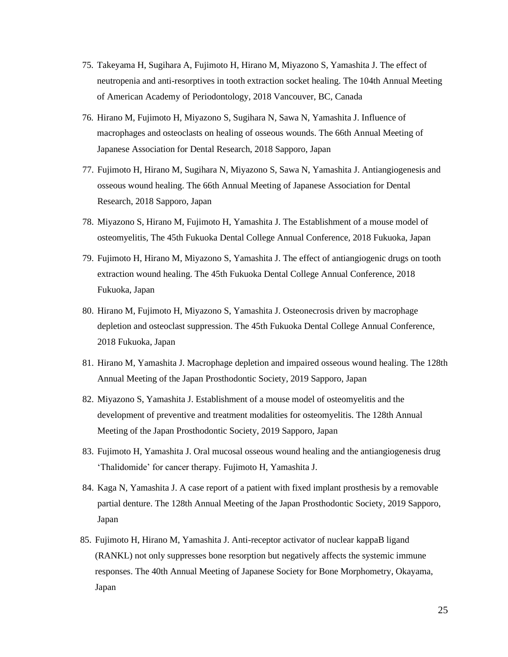- 75. Takeyama H, Sugihara A, Fujimoto H, Hirano M, Miyazono S, Yamashita J. The effect of neutropenia and anti-resorptives in tooth extraction socket healing. The 104th Annual Meeting of American Academy of Periodontology, 2018 Vancouver, BC, Canada
- 76. Hirano M, Fujimoto H, Miyazono S, Sugihara N, Sawa N, Yamashita J. Influence of macrophages and osteoclasts on healing of osseous wounds. The 66th Annual Meeting of Japanese Association for Dental Research, 2018 Sapporo, Japan
- 77. Fujimoto H, Hirano M, Sugihara N, Miyazono S, Sawa N, Yamashita J. Antiangiogenesis and osseous wound healing. The 66th Annual Meeting of Japanese Association for Dental Research, 2018 Sapporo, Japan
- 78. Miyazono S, Hirano M, Fujimoto H, Yamashita J. The Establishment of a mouse model of osteomyelitis, The 45th Fukuoka Dental College Annual Conference, 2018 Fukuoka, Japan
- 79. Fujimoto H, Hirano M, Miyazono S, Yamashita J. The effect of antiangiogenic drugs on tooth extraction wound healing. The 45th Fukuoka Dental College Annual Conference, 2018 Fukuoka, Japan
- 80. Hirano M, Fujimoto H, Miyazono S, Yamashita J. Osteonecrosis driven by macrophage depletion and osteoclast suppression. The 45th Fukuoka Dental College Annual Conference, 2018 Fukuoka, Japan
- 81. Hirano M, Yamashita J. Macrophage depletion and impaired osseous wound healing. The 128th Annual Meeting of the Japan Prosthodontic Society, 2019 Sapporo, Japan
- 82. Miyazono S, Yamashita J. Establishment of a mouse model of osteomyelitis and the development of preventive and treatment modalities for osteomyelitis. The 128th Annual Meeting of the Japan Prosthodontic Society, 2019 Sapporo, Japan
- 83. Fujimoto H, Yamashita J. Oral mucosal osseous wound healing and the antiangiogenesis drug 'Thalidomide' for cancer therapy. Fujimoto H, Yamashita J.
- 84. Kaga N, Yamashita J. A case report of a patient with fixed implant prosthesis by a removable partial denture. The 128th Annual Meeting of the Japan Prosthodontic Society, 2019 Sapporo, Japan
- 85. Fujimoto H, Hirano M, Yamashita J. Anti-receptor activator of nuclear kappaB ligand (RANKL) not only suppresses bone resorption but negatively affects the systemic immune responses. The 40th Annual Meeting of Japanese Society for Bone Morphometry, Okayama, Japan